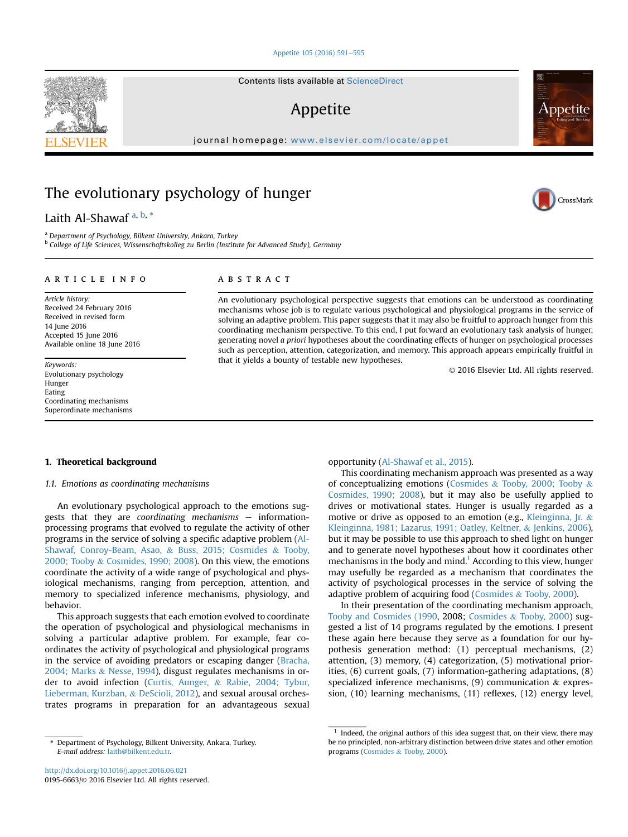#### [Appetite 105 \(2016\) 591](http://dx.doi.org/10.1016/j.appet.2016.06.021)-[595](http://dx.doi.org/10.1016/j.appet.2016.06.021)

# Appetite

journal homepage: <www.elsevier.com/locate/appet>

# The evolutionary psychology of hunger

Laith Al-Shawaf<sup>a, b,\*</sup>

<sup>a</sup> Department of Psychology, Bilkent University, Ankara, Turkey

<sup>b</sup> College of Life Sciences, Wissenschaftskolleg zu Berlin (Institute for Advanced Study), Germany

## article info

Article history: Received 24 February 2016 Received in revised form 14 June 2016 Accepted 15 June 2016 Available online 18 June 2016

Keywords: Evolutionary psychology Hunger Eating Coordinating mechanisms Superordinate mechanisms

# ABSTRACT

An evolutionary psychological perspective suggests that emotions can be understood as coordinating mechanisms whose job is to regulate various psychological and physiological programs in the service of solving an adaptive problem. This paper suggests that it may also be fruitful to approach hunger from this coordinating mechanism perspective. To this end, I put forward an evolutionary task analysis of hunger, generating novel a priori hypotheses about the coordinating effects of hunger on psychological processes such as perception, attention, categorization, and memory. This approach appears empirically fruitful in that it yields a bounty of testable new hypotheses.

© 2016 Elsevier Ltd. All rights reserved.

# 1. Theoretical background

# 1.1. Emotions as coordinating mechanisms

An evolutionary psychological approach to the emotions suggests that they are coordinating mechanisms  $-$  informationprocessing programs that evolved to regulate the activity of other programs in the service of solving a specific adaptive problem [\(Al-](#page-4-0)[Shawaf, Conroy-Beam, Asao,](#page-4-0) & [Buss, 2015; Cosmides](#page-4-0) & [Tooby,](#page-4-0) [2000; Tooby](#page-4-0) & [Cosmides, 1990; 2008](#page-4-0)). On this view, the emotions coordinate the activity of a wide range of psychological and physiological mechanisms, ranging from perception, attention, and memory to specialized inference mechanisms, physiology, and behavior.

This approach suggests that each emotion evolved to coordinate the operation of psychological and physiological mechanisms in solving a particular adaptive problem. For example, fear coordinates the activity of psychological and physiological programs in the service of avoiding predators or escaping danger [\(Bracha,](#page-4-0) [2004; Marks](#page-4-0) & [Nesse, 1994](#page-4-0)), disgust regulates mechanisms in order to avoid infection [\(Curtis, Aunger,](#page-4-0) & [Rabie, 2004; Tybur,](#page-4-0) [Lieberman, Kurzban,](#page-4-0) & [DeScioli, 2012\)](#page-4-0), and sexual arousal orchestrates programs in preparation for an advantageous sexual opportunity [\(Al-Shawaf et al., 2015](#page-4-0)).

This coordinating mechanism approach was presented as a way of conceptualizing emotions [\(Cosmides](#page-4-0) & [Tooby, 2000; Tooby](#page-4-0) & [Cosmides, 1990; 2008](#page-4-0)), but it may also be usefully applied to drives or motivational states. Hunger is usually regarded as a motive or drive as opposed to an emotion (e.g., [Kleinginna, Jr.](#page-4-0) & [Kleinginna, 1981; Lazarus, 1991; Oatley, Keltner,](#page-4-0) & [Jenkins, 2006\)](#page-4-0), but it may be possible to use this approach to shed light on hunger and to generate novel hypotheses about how it coordinates other mechanisms in the body and mind.<sup>1</sup> According to this view, hunger may usefully be regarded as a mechanism that coordinates the activity of psychological processes in the service of solving the adaptive problem of acquiring food ([Cosmides](#page-4-0) & [Tooby, 2000](#page-4-0)).

In their presentation of the coordinating mechanism approach, [Tooby and Cosmides \(1990,](#page-4-0) 2008; [Cosmides](#page-4-0) & [Tooby, 2000](#page-4-0)) suggested a list of 14 programs regulated by the emotions. I present these again here because they serve as a foundation for our hypothesis generation method: (1) perceptual mechanisms, (2) attention, (3) memory, (4) categorization, (5) motivational priorities, (6) current goals, (7) information-gathering adaptations, (8) specialized inference mechanisms, (9) communication & expression, (10) learning mechanisms, (11) reflexes, (12) energy level,







Department of Psychology, Bilkent University, Ankara, Turkey. E-mail address: [laith@bilkent.edu.tr](mailto:laith@bilkent.edu.tr).

 $1$  Indeed, the original authors of this idea suggest that, on their view, there may be no principled, non-arbitrary distinction between drive states and other emotion programs [\(Cosmides](#page-4-0) & [Tooby, 2000](#page-4-0)).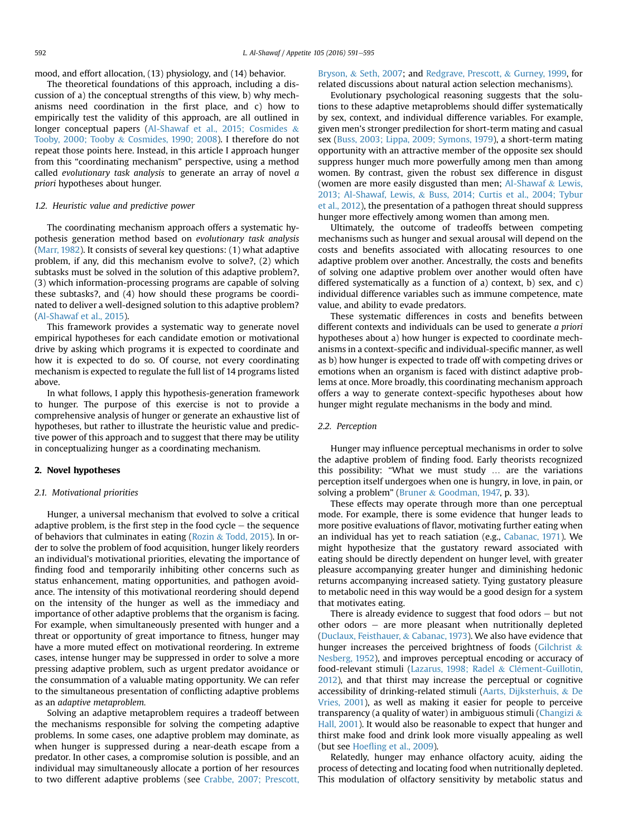mood, and effort allocation, (13) physiology, and (14) behavior.

The theoretical foundations of this approach, including a discussion of a) the conceptual strengths of this view, b) why mechanisms need coordination in the first place, and c) how to empirically test the validity of this approach, are all outlined in longer conceptual papers ([Al-Shawaf et al., 2015; Cosmides](#page-4-0) & [Tooby, 2000; Tooby](#page-4-0) & [Cosmides, 1990; 2008](#page-4-0)). I therefore do not repeat those points here. Instead, in this article I approach hunger from this "coordinating mechanism" perspective, using a method called evolutionary task analysis to generate an array of novel a priori hypotheses about hunger.

# 1.2. Heuristic value and predictive power

The coordinating mechanism approach offers a systematic hypothesis generation method based on evolutionary task analysis ([Marr, 1982\)](#page-4-0). It consists of several key questions: (1) what adaptive problem, if any, did this mechanism evolve to solve?, (2) which subtasks must be solved in the solution of this adaptive problem?, (3) which information-processing programs are capable of solving these subtasks?, and (4) how should these programs be coordinated to deliver a well-designed solution to this adaptive problem? ([Al-Shawaf et al., 2015\)](#page-4-0).

This framework provides a systematic way to generate novel empirical hypotheses for each candidate emotion or motivational drive by asking which programs it is expected to coordinate and how it is expected to do so. Of course, not every coordinating mechanism is expected to regulate the full list of 14 programs listed above.

In what follows, I apply this hypothesis-generation framework to hunger. The purpose of this exercise is not to provide a comprehensive analysis of hunger or generate an exhaustive list of hypotheses, but rather to illustrate the heuristic value and predictive power of this approach and to suggest that there may be utility in conceptualizing hunger as a coordinating mechanism.

#### 2. Novel hypotheses

# 2.1. Motivational priorities

Hunger, a universal mechanism that evolved to solve a critical adaptive problem, is the first step in the food cycle  $-$  the sequence of behaviors that culminates in eating [\(Rozin](#page-4-0) & [Todd, 2015\)](#page-4-0). In order to solve the problem of food acquisition, hunger likely reorders an individual's motivational priorities, elevating the importance of finding food and temporarily inhibiting other concerns such as status enhancement, mating opportunities, and pathogen avoidance. The intensity of this motivational reordering should depend on the intensity of the hunger as well as the immediacy and importance of other adaptive problems that the organism is facing. For example, when simultaneously presented with hunger and a threat or opportunity of great importance to fitness, hunger may have a more muted effect on motivational reordering. In extreme cases, intense hunger may be suppressed in order to solve a more pressing adaptive problem, such as urgent predator avoidance or the consummation of a valuable mating opportunity. We can refer to the simultaneous presentation of conflicting adaptive problems as an adaptive metaproblem.

Solving an adaptive metaproblem requires a tradeoff between the mechanisms responsible for solving the competing adaptive problems. In some cases, one adaptive problem may dominate, as when hunger is suppressed during a near-death escape from a predator. In other cases, a compromise solution is possible, and an individual may simultaneously allocate a portion of her resources to two different adaptive problems (see [Crabbe, 2007; Prescott,](#page-4-0)

# [Bryson,](#page-4-0) & [Seth, 2007;](#page-4-0) and [Redgrave, Prescott,](#page-4-0) & [Gurney, 1999,](#page-4-0) for related discussions about natural action selection mechanisms).

Evolutionary psychological reasoning suggests that the solutions to these adaptive metaproblems should differ systematically by sex, context, and individual difference variables. For example, given men's stronger predilection for short-term mating and casual sex ([Buss, 2003; Lippa, 2009; Symons, 1979\)](#page-4-0), a short-term mating opportunity with an attractive member of the opposite sex should suppress hunger much more powerfully among men than among women. By contrast, given the robust sex difference in disgust (women are more easily disgusted than men; [Al-Shawaf](#page-4-0)  $&$  [Lewis,](#page-4-0) [2013; Al-Shawaf, Lewis,](#page-4-0) & [Buss, 2014; Curtis et al., 2004; Tybur](#page-4-0) [et al., 2012](#page-4-0)), the presentation of a pathogen threat should suppress hunger more effectively among women than among men.

Ultimately, the outcome of tradeoffs between competing mechanisms such as hunger and sexual arousal will depend on the costs and benefits associated with allocating resources to one adaptive problem over another. Ancestrally, the costs and benefits of solving one adaptive problem over another would often have differed systematically as a function of a) context, b) sex, and c) individual difference variables such as immune competence, mate value, and ability to evade predators.

These systematic differences in costs and benefits between different contexts and individuals can be used to generate a priori hypotheses about a) how hunger is expected to coordinate mechanisms in a context-specific and individual-specific manner, as well as b) how hunger is expected to trade off with competing drives or emotions when an organism is faced with distinct adaptive problems at once. More broadly, this coordinating mechanism approach offers a way to generate context-specific hypotheses about how hunger might regulate mechanisms in the body and mind.

# 2.2. Perception

Hunger may influence perceptual mechanisms in order to solve the adaptive problem of finding food. Early theorists recognized this possibility: "What we must study … are the variations perception itself undergoes when one is hungry, in love, in pain, or solving a problem" ([Bruner](#page-4-0) & [Goodman, 1947,](#page-4-0) p. 33).

These effects may operate through more than one perceptual mode. For example, there is some evidence that hunger leads to more positive evaluations of flavor, motivating further eating when an individual has yet to reach satiation (e.g., [Cabanac, 1971](#page-4-0)). We might hypothesize that the gustatory reward associated with eating should be directly dependent on hunger level, with greater pleasure accompanying greater hunger and diminishing hedonic returns accompanying increased satiety. Tying gustatory pleasure to metabolic need in this way would be a good design for a system that motivates eating.

There is already evidence to suggest that food odors  $-$  but not other odors  $-$  are more pleasant when nutritionally depleted ([Duclaux, Feisthauer,](#page-4-0) & [Cabanac, 1973](#page-4-0)). We also have evidence that hunger increases the perceived brightness of foods ([Gilchrist](#page-4-0)  $\&$ [Nesberg, 1952](#page-4-0)), and improves perceptual encoding or accuracy of food-relevant stimuli ([Lazarus, 1998; Radel](#page-4-0) & [Cl](#page-4-0)é[ment-Guillotin,](#page-4-0) [2012](#page-4-0)), and that thirst may increase the perceptual or cognitive accessibility of drinking-related stimuli [\(Aarts, Dijksterhuis,](#page-4-0) & [De](#page-4-0) [Vries, 2001\)](#page-4-0), as well as making it easier for people to perceive transparency (a quality of water) in ambiguous stimuli ([Changizi](#page-4-0)  $\&$ [Hall, 2001](#page-4-0)). It would also be reasonable to expect that hunger and thirst make food and drink look more visually appealing as well (but see Hoefl[ing et al., 2009](#page-4-0)).

Relatedly, hunger may enhance olfactory acuity, aiding the process of detecting and locating food when nutritionally depleted. This modulation of olfactory sensitivity by metabolic status and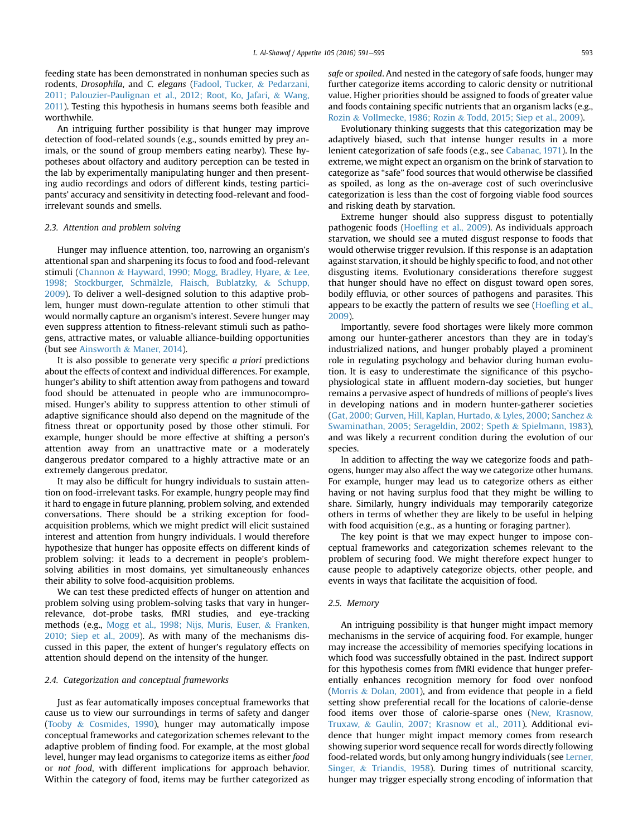feeding state has been demonstrated in nonhuman species such as rodents, Drosophila, and C. elegans [\(Fadool, Tucker,](#page-4-0) & [Pedarzani,](#page-4-0) [2011; Palouzier-Paulignan et al., 2012; Root, Ko, Jafari,](#page-4-0) & [Wang,](#page-4-0) [2011](#page-4-0)). Testing this hypothesis in humans seems both feasible and worthwhile.

An intriguing further possibility is that hunger may improve detection of food-related sounds (e.g., sounds emitted by prey animals, or the sound of group members eating nearby). These hypotheses about olfactory and auditory perception can be tested in the lab by experimentally manipulating hunger and then presenting audio recordings and odors of different kinds, testing participants' accuracy and sensitivity in detecting food-relevant and foodirrelevant sounds and smells.

#### 2.3. Attention and problem solving

Hunger may influence attention, too, narrowing an organism's attentional span and sharpening its focus to food and food-relevant stimuli ([Channon](#page-4-0) & [Hayward, 1990; Mogg, Bradley, Hyare,](#page-4-0) & [Lee,](#page-4-0) 1998; Stockburger, Schmälzle, Flaisch, Bublatzky, & [Schupp,](#page-4-0) [2009\)](#page-4-0). To deliver a well-designed solution to this adaptive problem, hunger must down-regulate attention to other stimuli that would normally capture an organism's interest. Severe hunger may even suppress attention to fitness-relevant stimuli such as pathogens, attractive mates, or valuable alliance-building opportunities (but see [Ainsworth](#page-4-0) & [Maner, 2014\)](#page-4-0).

It is also possible to generate very specific a priori predictions about the effects of context and individual differences. For example, hunger's ability to shift attention away from pathogens and toward food should be attenuated in people who are immunocompromised. Hunger's ability to suppress attention to other stimuli of adaptive significance should also depend on the magnitude of the fitness threat or opportunity posed by those other stimuli. For example, hunger should be more effective at shifting a person's attention away from an unattractive mate or a moderately dangerous predator compared to a highly attractive mate or an extremely dangerous predator.

It may also be difficult for hungry individuals to sustain attention on food-irrelevant tasks. For example, hungry people may find it hard to engage in future planning, problem solving, and extended conversations. There should be a striking exception for foodacquisition problems, which we might predict will elicit sustained interest and attention from hungry individuals. I would therefore hypothesize that hunger has opposite effects on different kinds of problem solving: it leads to a decrement in people's problemsolving abilities in most domains, yet simultaneously enhances their ability to solve food-acquisition problems.

We can test these predicted effects of hunger on attention and problem solving using problem-solving tasks that vary in hungerrelevance, dot-probe tasks, fMRI studies, and eye-tracking methods (e.g., [Mogg et al., 1998; Nijs, Muris, Euser,](#page-4-0) & [Franken,](#page-4-0) [2010; Siep et al., 2009](#page-4-0)). As with many of the mechanisms discussed in this paper, the extent of hunger's regulatory effects on attention should depend on the intensity of the hunger.

# 2.4. Categorization and conceptual frameworks

Just as fear automatically imposes conceptual frameworks that cause us to view our surroundings in terms of safety and danger ([Tooby](#page-4-0) & [Cosmides, 1990\)](#page-4-0), hunger may automatically impose conceptual frameworks and categorization schemes relevant to the adaptive problem of finding food. For example, at the most global level, hunger may lead organisms to categorize items as either food or not food, with different implications for approach behavior. Within the category of food, items may be further categorized as safe or spoiled. And nested in the category of safe foods, hunger may further categorize items according to caloric density or nutritional value. Higher priorities should be assigned to foods of greater value and foods containing specific nutrients that an organism lacks (e.g., [Rozin](#page-4-0) & [Vollmecke, 1986; Rozin](#page-4-0) & [Todd, 2015; Siep et al., 2009](#page-4-0)).

Evolutionary thinking suggests that this categorization may be adaptively biased, such that intense hunger results in a more lenient categorization of safe foods (e.g., see [Cabanac, 1971](#page-4-0)). In the extreme, we might expect an organism on the brink of starvation to categorize as "safe" food sources that would otherwise be classified as spoiled, as long as the on-average cost of such overinclusive categorization is less than the cost of forgoing viable food sources and risking death by starvation.

Extreme hunger should also suppress disgust to potentially pathogenic foods (Hoefl[ing et al., 2009](#page-4-0)). As individuals approach starvation, we should see a muted disgust response to foods that would otherwise trigger revulsion. If this response is an adaptation against starvation, it should be highly specific to food, and not other disgusting items. Evolutionary considerations therefore suggest that hunger should have no effect on disgust toward open sores, bodily effluvia, or other sources of pathogens and parasites. This appears to be exactly the pattern of results we see (Hoefl[ing et al.,](#page-4-0) [2009\)](#page-4-0).

Importantly, severe food shortages were likely more common among our hunter-gatherer ancestors than they are in today's industrialized nations, and hunger probably played a prominent role in regulating psychology and behavior during human evolution. It is easy to underestimate the significance of this psychophysiological state in affluent modern-day societies, but hunger remains a pervasive aspect of hundreds of millions of people's lives in developing nations and in modern hunter-gatherer societies ([Gat, 2000; Gurven, Hill, Kaplan, Hurtado,](#page-4-0) & [Lyles, 2000; Sanchez](#page-4-0) & [Swaminathan, 2005; Serageldin, 2002; Speth](#page-4-0) & [Spielmann, 1983\)](#page-4-0), and was likely a recurrent condition during the evolution of our species.

In addition to affecting the way we categorize foods and pathogens, hunger may also affect the way we categorize other humans. For example, hunger may lead us to categorize others as either having or not having surplus food that they might be willing to share. Similarly, hungry individuals may temporarily categorize others in terms of whether they are likely to be useful in helping with food acquisition (e.g., as a hunting or foraging partner).

The key point is that we may expect hunger to impose conceptual frameworks and categorization schemes relevant to the problem of securing food. We might therefore expect hunger to cause people to adaptively categorize objects, other people, and events in ways that facilitate the acquisition of food.

# 2.5. Memory

An intriguing possibility is that hunger might impact memory mechanisms in the service of acquiring food. For example, hunger may increase the accessibility of memories specifying locations in which food was successfully obtained in the past. Indirect support for this hypothesis comes from fMRI evidence that hunger preferentially enhances recognition memory for food over nonfood ([Morris](#page-4-0) & [Dolan, 2001](#page-4-0)), and from evidence that people in a field setting show preferential recall for the locations of calorie-dense food items over those of calorie-sparse ones ([New, Krasnow,](#page-4-0) [Truxaw,](#page-4-0) & [Gaulin, 2007; Krasnow et al., 2011](#page-4-0)). Additional evidence that hunger might impact memory comes from research showing superior word sequence recall for words directly following food-related words, but only among hungry individuals (see [Lerner,](#page-4-0) [Singer,](#page-4-0) & [Triandis, 1958\)](#page-4-0). During times of nutritional scarcity, hunger may trigger especially strong encoding of information that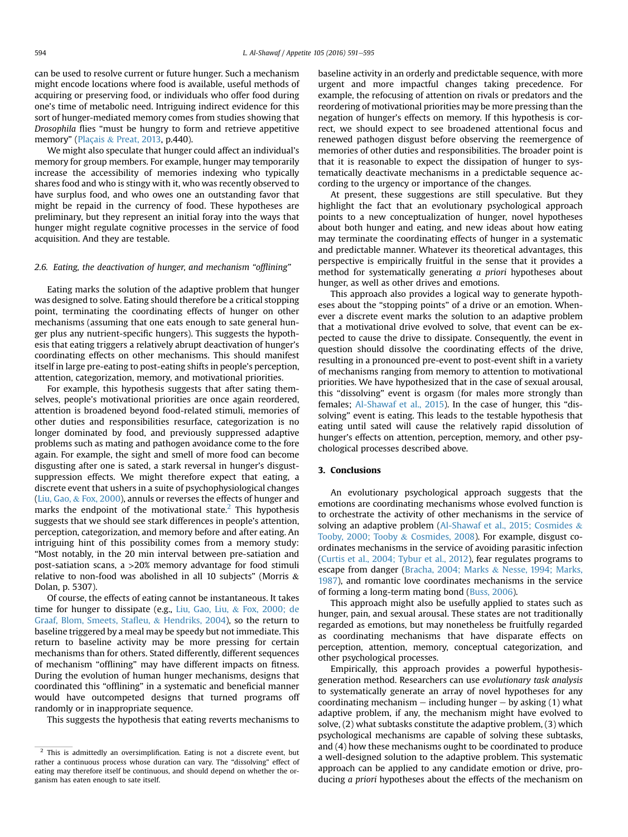can be used to resolve current or future hunger. Such a mechanism might encode locations where food is available, useful methods of acquiring or preserving food, or individuals who offer food during one's time of metabolic need. Intriguing indirect evidence for this sort of hunger-mediated memory comes from studies showing that Drosophila flies "must be hungry to form and retrieve appetitive memory" ([Plaçais](#page-4-0) & [Preat, 2013,](#page-4-0) p.440).

We might also speculate that hunger could affect an individual's memory for group members. For example, hunger may temporarily increase the accessibility of memories indexing who typically shares food and who is stingy with it, who was recently observed to have surplus food, and who owes one an outstanding favor that might be repaid in the currency of food. These hypotheses are preliminary, but they represent an initial foray into the ways that hunger might regulate cognitive processes in the service of food acquisition. And they are testable.

# 2.6. Eating, the deactivation of hunger, and mechanism "offlining"

Eating marks the solution of the adaptive problem that hunger was designed to solve. Eating should therefore be a critical stopping point, terminating the coordinating effects of hunger on other mechanisms (assuming that one eats enough to sate general hunger plus any nutrient-specific hungers). This suggests the hypothesis that eating triggers a relatively abrupt deactivation of hunger's coordinating effects on other mechanisms. This should manifest itself in large pre-eating to post-eating shifts in people's perception, attention, categorization, memory, and motivational priorities.

For example, this hypothesis suggests that after sating themselves, people's motivational priorities are once again reordered, attention is broadened beyond food-related stimuli, memories of other duties and responsibilities resurface, categorization is no longer dominated by food, and previously suppressed adaptive problems such as mating and pathogen avoidance come to the fore again. For example, the sight and smell of more food can become disgusting after one is sated, a stark reversal in hunger's disgustsuppression effects. We might therefore expect that eating, a discrete event that ushers in a suite of psychophysiological changes ([Liu, Gao,](#page-4-0) & [Fox, 2000](#page-4-0)), annuls or reverses the effects of hunger and marks the endpoint of the motivational state. $<sup>2</sup>$  This hypothesis</sup> suggests that we should see stark differences in people's attention, perception, categorization, and memory before and after eating. An intriguing hint of this possibility comes from a memory study: "Most notably, in the 20 min interval between pre-satiation and post-satiation scans, a >20% memory advantage for food stimuli relative to non-food was abolished in all 10 subjects" (Morris  $\&$ Dolan, p. 5307).

Of course, the effects of eating cannot be instantaneous. It takes time for hunger to dissipate (e.g., [Liu, Gao, Liu,](#page-4-0) & [Fox, 2000; de](#page-4-0) [Graaf, Blom, Smeets, Sta](#page-4-0)fleu, & [Hendriks, 2004](#page-4-0)), so the return to baseline triggered by a meal may be speedy but not immediate. This return to baseline activity may be more pressing for certain mechanisms than for others. Stated differently, different sequences of mechanism "offlining" may have different impacts on fitness. During the evolution of human hunger mechanisms, designs that coordinated this "offlining" in a systematic and beneficial manner would have outcompeted designs that turned programs off randomly or in inappropriate sequence.

This suggests the hypothesis that eating reverts mechanisms to

baseline activity in an orderly and predictable sequence, with more urgent and more impactful changes taking precedence. For example, the refocusing of attention on rivals or predators and the reordering of motivational priorities may be more pressing than the negation of hunger's effects on memory. If this hypothesis is correct, we should expect to see broadened attentional focus and renewed pathogen disgust before observing the reemergence of memories of other duties and responsibilities. The broader point is that it is reasonable to expect the dissipation of hunger to systematically deactivate mechanisms in a predictable sequence according to the urgency or importance of the changes.

At present, these suggestions are still speculative. But they highlight the fact that an evolutionary psychological approach points to a new conceptualization of hunger, novel hypotheses about both hunger and eating, and new ideas about how eating may terminate the coordinating effects of hunger in a systematic and predictable manner. Whatever its theoretical advantages, this perspective is empirically fruitful in the sense that it provides a method for systematically generating a priori hypotheses about hunger, as well as other drives and emotions.

This approach also provides a logical way to generate hypotheses about the "stopping points" of a drive or an emotion. Whenever a discrete event marks the solution to an adaptive problem that a motivational drive evolved to solve, that event can be expected to cause the drive to dissipate. Consequently, the event in question should dissolve the coordinating effects of the drive, resulting in a pronounced pre-event to post-event shift in a variety of mechanisms ranging from memory to attention to motivational priorities. We have hypothesized that in the case of sexual arousal, this "dissolving" event is orgasm (for males more strongly than females; [Al-Shawaf et al., 2015](#page-4-0)). In the case of hunger, this "dissolving" event is eating. This leads to the testable hypothesis that eating until sated will cause the relatively rapid dissolution of hunger's effects on attention, perception, memory, and other psychological processes described above.

## 3. Conclusions

An evolutionary psychological approach suggests that the emotions are coordinating mechanisms whose evolved function is to orchestrate the activity of other mechanisms in the service of solving an adaptive problem ([Al-Shawaf et al., 2015; Cosmides](#page-4-0) & [Tooby, 2000; Tooby](#page-4-0) & [Cosmides, 2008](#page-4-0)). For example, disgust coordinates mechanisms in the service of avoiding parasitic infection ([Curtis et al., 2004; Tybur et al., 2012](#page-4-0)), fear regulates programs to escape from danger [\(Bracha, 2004; Marks](#page-4-0) & [Nesse, 1994; Marks,](#page-4-0) [1987](#page-4-0)), and romantic love coordinates mechanisms in the service of forming a long-term mating bond ([Buss, 2006](#page-4-0)).

This approach might also be usefully applied to states such as hunger, pain, and sexual arousal. These states are not traditionally regarded as emotions, but may nonetheless be fruitfully regarded as coordinating mechanisms that have disparate effects on perception, attention, memory, conceptual categorization, and other psychological processes.

Empirically, this approach provides a powerful hypothesisgeneration method. Researchers can use evolutionary task analysis to systematically generate an array of novel hypotheses for any coordinating mechanism  $-$  including hunger  $-$  by asking (1) what adaptive problem, if any, the mechanism might have evolved to solve, (2) what subtasks constitute the adaptive problem, (3) which psychological mechanisms are capable of solving these subtasks, and (4) how these mechanisms ought to be coordinated to produce a well-designed solution to the adaptive problem. This systematic approach can be applied to any candidate emotion or drive, producing a priori hypotheses about the effects of the mechanism on

 $\frac{2}{x}$  This is admittedly an oversimplification. Eating is not a discrete event, but rather a continuous process whose duration can vary. The "dissolving" effect of eating may therefore itself be continuous, and should depend on whether the organism has eaten enough to sate itself.